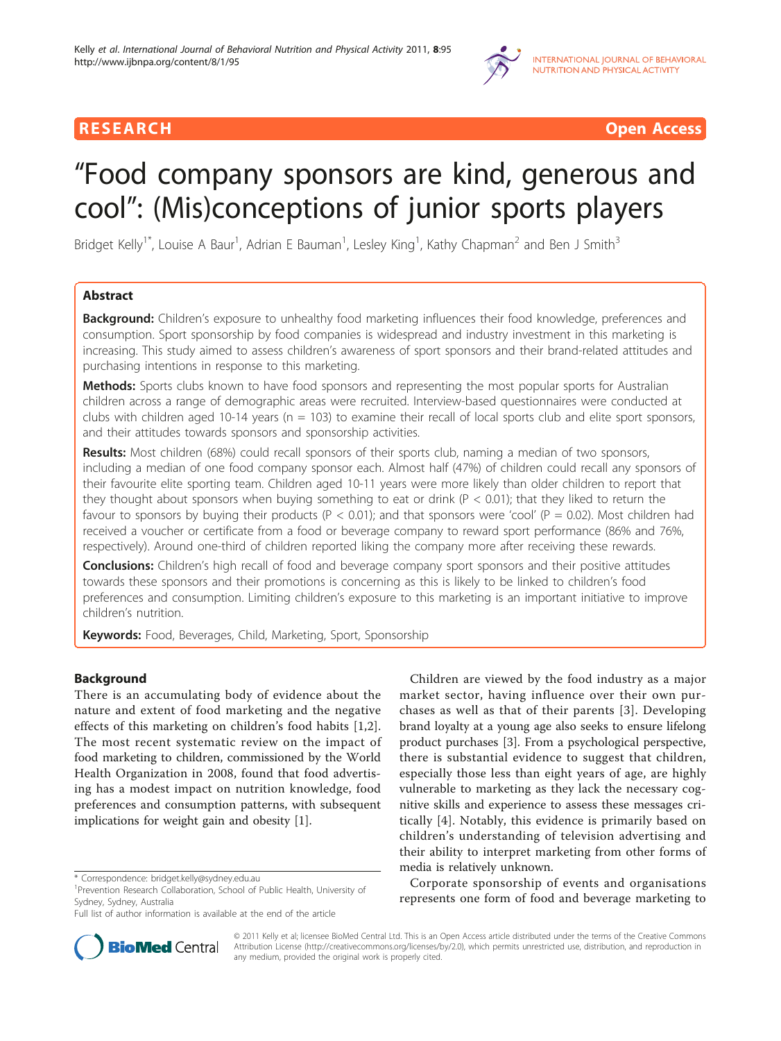

**RESEARCH Open Access** 

# "Food company sponsors are kind, generous and cool": (Mis)conceptions of junior sports players

Bridget Kelly<sup>1\*</sup>, Louise A Baur<sup>1</sup>, Adrian E Bauman<sup>1</sup>, Lesley King<sup>1</sup>, Kathy Chapman<sup>2</sup> and Ben J Smith<sup>3</sup>

# Abstract

**Background:** Children's exposure to unhealthy food marketing influences their food knowledge, preferences and consumption. Sport sponsorship by food companies is widespread and industry investment in this marketing is increasing. This study aimed to assess children's awareness of sport sponsors and their brand-related attitudes and purchasing intentions in response to this marketing.

Methods: Sports clubs known to have food sponsors and representing the most popular sports for Australian children across a range of demographic areas were recruited. Interview-based questionnaires were conducted at clubs with children aged 10-14 years ( $n = 103$ ) to examine their recall of local sports club and elite sport sponsors, and their attitudes towards sponsors and sponsorship activities.

Results: Most children (68%) could recall sponsors of their sports club, naming a median of two sponsors, including a median of one food company sponsor each. Almost half (47%) of children could recall any sponsors of their favourite elite sporting team. Children aged 10-11 years were more likely than older children to report that they thought about sponsors when buying something to eat or drink ( $P < 0.01$ ); that they liked to return the favour to sponsors by buying their products ( $P < 0.01$ ); and that sponsors were 'cool' ( $P = 0.02$ ). Most children had received a voucher or certificate from a food or beverage company to reward sport performance (86% and 76%, respectively). Around one-third of children reported liking the company more after receiving these rewards.

**Conclusions:** Children's high recall of food and beverage company sport sponsors and their positive attitudes towards these sponsors and their promotions is concerning as this is likely to be linked to children's food preferences and consumption. Limiting children's exposure to this marketing is an important initiative to improve children's nutrition.

Keywords: Food, Beverages, Child, Marketing, Sport, Sponsorship

# Background

There is an accumulating body of evidence about the nature and extent of food marketing and the negative effects of this marketing on children's food habits [[1,](#page-5-0)[2](#page-6-0)]. The most recent systematic review on the impact of food marketing to children, commissioned by the World Health Organization in 2008, found that food advertising has a modest impact on nutrition knowledge, food preferences and consumption patterns, with subsequent implications for weight gain and obesity [[1\]](#page-5-0).



Corporate sponsorship of events and organisations represents one form of food and beverage marketing to



© 2011 Kelly et al; licensee BioMed Central Ltd. This is an Open Access article distributed under the terms of the Creative Commons Attribution License [\(http://creativecommons.org/licenses/by/2.0](http://creativecommons.org/licenses/by/2.0)), which permits unrestricted use, distribution, and reproduction in any medium, provided the original work is properly cited.

<sup>\*</sup> Correspondence: [bridget.kelly@sydney.edu.au](mailto:bridget.kelly@sydney.edu.au)

<sup>&</sup>lt;sup>1</sup> Prevention Research Collaboration, School of Public Health, University of Sydney, Sydney, Australia

Full list of author information is available at the end of the article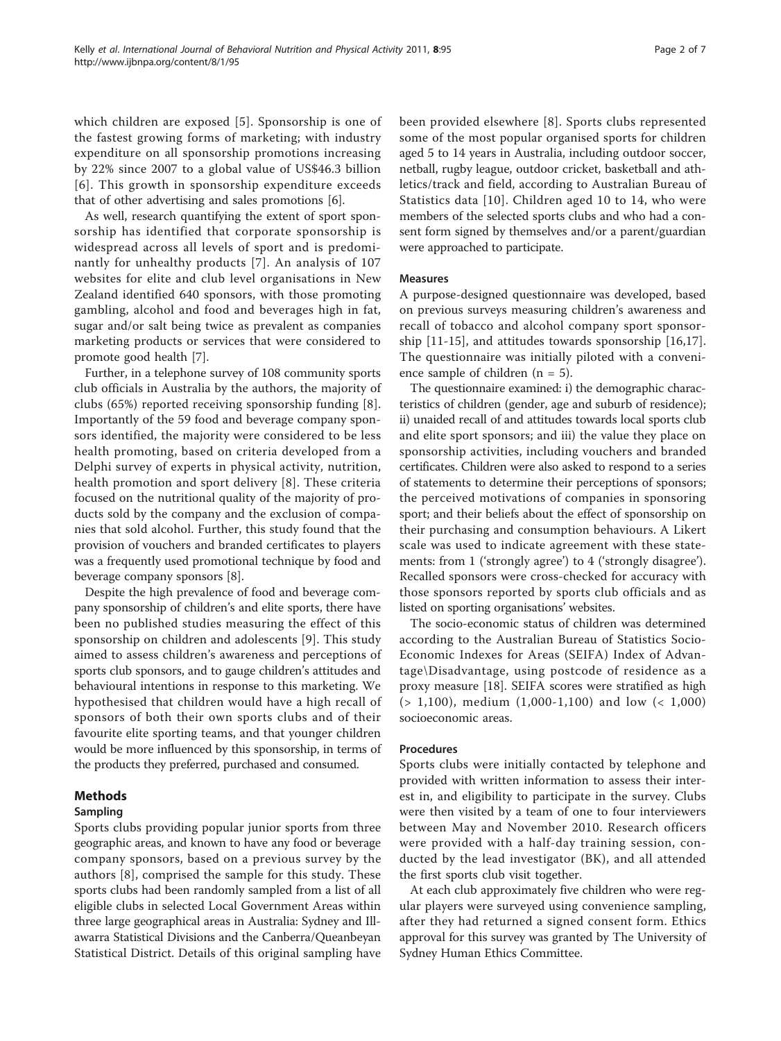which children are exposed [\[5\]](#page-6-0). Sponsorship is one of the fastest growing forms of marketing; with industry expenditure on all sponsorship promotions increasing by 22% since 2007 to a global value of US\$46.3 billion [[6](#page-6-0)]. This growth in sponsorship expenditure exceeds that of other advertising and sales promotions [\[6\]](#page-6-0).

As well, research quantifying the extent of sport sponsorship has identified that corporate sponsorship is widespread across all levels of sport and is predominantly for unhealthy products [[7](#page-6-0)]. An analysis of 107 websites for elite and club level organisations in New Zealand identified 640 sponsors, with those promoting gambling, alcohol and food and beverages high in fat, sugar and/or salt being twice as prevalent as companies marketing products or services that were considered to promote good health [\[7](#page-6-0)].

Further, in a telephone survey of 108 community sports club officials in Australia by the authors, the majority of clubs (65%) reported receiving sponsorship funding [[8](#page-6-0)]. Importantly of the 59 food and beverage company sponsors identified, the majority were considered to be less health promoting, based on criteria developed from a Delphi survey of experts in physical activity, nutrition, health promotion and sport delivery [[8](#page-6-0)]. These criteria focused on the nutritional quality of the majority of products sold by the company and the exclusion of companies that sold alcohol. Further, this study found that the provision of vouchers and branded certificates to players was a frequently used promotional technique by food and beverage company sponsors [\[8\]](#page-6-0).

Despite the high prevalence of food and beverage company sponsorship of children's and elite sports, there have been no published studies measuring the effect of this sponsorship on children and adolescents [\[9](#page-6-0)]. This study aimed to assess children's awareness and perceptions of sports club sponsors, and to gauge children's attitudes and behavioural intentions in response to this marketing. We hypothesised that children would have a high recall of sponsors of both their own sports clubs and of their favourite elite sporting teams, and that younger children would be more influenced by this sponsorship, in terms of the products they preferred, purchased and consumed.

# Methods

### Sampling

Sports clubs providing popular junior sports from three geographic areas, and known to have any food or beverage company sponsors, based on a previous survey by the authors [[8\]](#page-6-0), comprised the sample for this study. These sports clubs had been randomly sampled from a list of all eligible clubs in selected Local Government Areas within three large geographical areas in Australia: Sydney and Illawarra Statistical Divisions and the Canberra/Queanbeyan Statistical District. Details of this original sampling have been provided elsewhere [[8\]](#page-6-0). Sports clubs represented some of the most popular organised sports for children aged 5 to 14 years in Australia, including outdoor soccer, netball, rugby league, outdoor cricket, basketball and athletics/track and field, according to Australian Bureau of Statistics data [[10](#page-6-0)]. Children aged 10 to 14, who were members of the selected sports clubs and who had a consent form signed by themselves and/or a parent/guardian were approached to participate.

#### Measures

A purpose-designed questionnaire was developed, based on previous surveys measuring children's awareness and recall of tobacco and alcohol company sport sponsorship [\[11-15](#page-6-0)], and attitudes towards sponsorship [[16,17](#page-6-0)]. The questionnaire was initially piloted with a convenience sample of children (n = 5).

The questionnaire examined: i) the demographic characteristics of children (gender, age and suburb of residence); ii) unaided recall of and attitudes towards local sports club and elite sport sponsors; and iii) the value they place on sponsorship activities, including vouchers and branded certificates. Children were also asked to respond to a series of statements to determine their perceptions of sponsors; the perceived motivations of companies in sponsoring sport; and their beliefs about the effect of sponsorship on their purchasing and consumption behaviours. A Likert scale was used to indicate agreement with these statements: from 1 ('strongly agree') to 4 ('strongly disagree'). Recalled sponsors were cross-checked for accuracy with those sponsors reported by sports club officials and as listed on sporting organisations' websites.

The socio-economic status of children was determined according to the Australian Bureau of Statistics Socio-Economic Indexes for Areas (SEIFA) Index of Advantage\Disadvantage, using postcode of residence as a proxy measure [[18\]](#page-6-0). SEIFA scores were stratified as high (> 1,100), medium (1,000-1,100) and low (< 1,000) socioeconomic areas.

#### Procedures

Sports clubs were initially contacted by telephone and provided with written information to assess their interest in, and eligibility to participate in the survey. Clubs were then visited by a team of one to four interviewers between May and November 2010. Research officers were provided with a half-day training session, conducted by the lead investigator (BK), and all attended the first sports club visit together.

At each club approximately five children who were regular players were surveyed using convenience sampling, after they had returned a signed consent form. Ethics approval for this survey was granted by The University of Sydney Human Ethics Committee.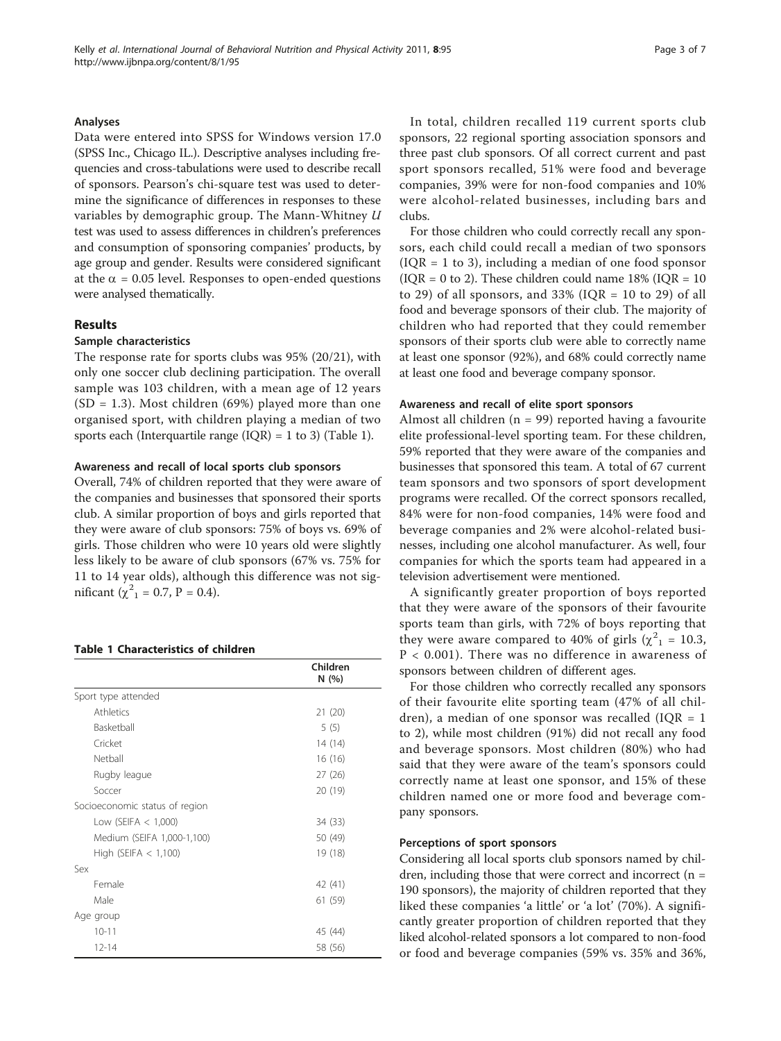#### Analyses

Data were entered into SPSS for Windows version 17.0 (SPSS Inc., Chicago IL.). Descriptive analyses including frequencies and cross-tabulations were used to describe recall of sponsors. Pearson's chi-square test was used to determine the significance of differences in responses to these variables by demographic group. The Mann-Whitney U test was used to assess differences in children's preferences and consumption of sponsoring companies' products, by age group and gender. Results were considered significant at the  $\alpha$  = 0.05 level. Responses to open-ended questions were analysed thematically.

### Results

#### Sample characteristics

The response rate for sports clubs was 95% (20/21), with only one soccer club declining participation. The overall sample was 103 children, with a mean age of 12 years  $(SD = 1.3)$ . Most children (69%) played more than one organised sport, with children playing a median of two sports each (Interquartile range  $(IQR) = 1$  to 3) (Table 1).

#### Awareness and recall of local sports club sponsors

Overall, 74% of children reported that they were aware of the companies and businesses that sponsored their sports club. A similar proportion of boys and girls reported that they were aware of club sponsors: 75% of boys vs. 69% of girls. Those children who were 10 years old were slightly less likely to be aware of club sponsors (67% vs. 75% for 11 to 14 year olds), although this difference was not significant ( $\chi^2$ <sub>1</sub> = 0.7, P = 0.4).

### Table 1 Characteristics of children

|                                | Children<br>N(%) |
|--------------------------------|------------------|
| Sport type attended            |                  |
| Athletics                      | 21(20)           |
| Basketball                     | 5(5)             |
| Cricket                        | 14(14)           |
| Netball                        | 16(16)           |
| Rugby league                   | 27 (26)          |
| Soccer                         | 20 (19)          |
| Socioeconomic status of region |                  |
| Low (SEIFA $<$ 1,000)          | 34 (33)          |
| Medium (SEIFA 1,000-1,100)     | 50 (49)          |
| High (SEIFA $<$ 1,100)         | 19 (18)          |
| Sex                            |                  |
| Female                         | 42 (41)          |
| Male                           | 61 (59)          |
| Age group                      |                  |
| $10 - 11$                      | 45 (44)          |
| $12 - 14$                      | 58 (56)          |

In total, children recalled 119 current sports club sponsors, 22 regional sporting association sponsors and three past club sponsors. Of all correct current and past sport sponsors recalled, 51% were food and beverage companies, 39% were for non-food companies and 10% were alcohol-related businesses, including bars and clubs.

For those children who could correctly recall any sponsors, each child could recall a median of two sponsors  $(IQR = 1$  to 3), including a median of one food sponsor ( $IQR = 0$  to 2). These children could name 18% ( $IQR = 10$ to 29) of all sponsors, and 33% ( $IQR = 10$  to 29) of all food and beverage sponsors of their club. The majority of children who had reported that they could remember sponsors of their sports club were able to correctly name at least one sponsor (92%), and 68% could correctly name at least one food and beverage company sponsor.

#### Awareness and recall of elite sport sponsors

Almost all children  $(n = 99)$  reported having a favourite elite professional-level sporting team. For these children, 59% reported that they were aware of the companies and businesses that sponsored this team. A total of 67 current team sponsors and two sponsors of sport development programs were recalled. Of the correct sponsors recalled, 84% were for non-food companies, 14% were food and beverage companies and 2% were alcohol-related businesses, including one alcohol manufacturer. As well, four companies for which the sports team had appeared in a television advertisement were mentioned.

A significantly greater proportion of boys reported that they were aware of the sponsors of their favourite sports team than girls, with 72% of boys reporting that they were aware compared to 40% of girls  $(\chi^2)$  = 10.3, P < 0.001). There was no difference in awareness of sponsors between children of different ages.

For those children who correctly recalled any sponsors of their favourite elite sporting team (47% of all children), a median of one sponsor was recalled  $(IQR = 1$ to 2), while most children (91%) did not recall any food and beverage sponsors. Most children (80%) who had said that they were aware of the team's sponsors could correctly name at least one sponsor, and 15% of these children named one or more food and beverage company sponsors.

#### Perceptions of sport sponsors

Considering all local sports club sponsors named by children, including those that were correct and incorrect  $(n =$ 190 sponsors), the majority of children reported that they liked these companies 'a little' or 'a lot' (70%). A significantly greater proportion of children reported that they liked alcohol-related sponsors a lot compared to non-food or food and beverage companies (59% vs. 35% and 36%,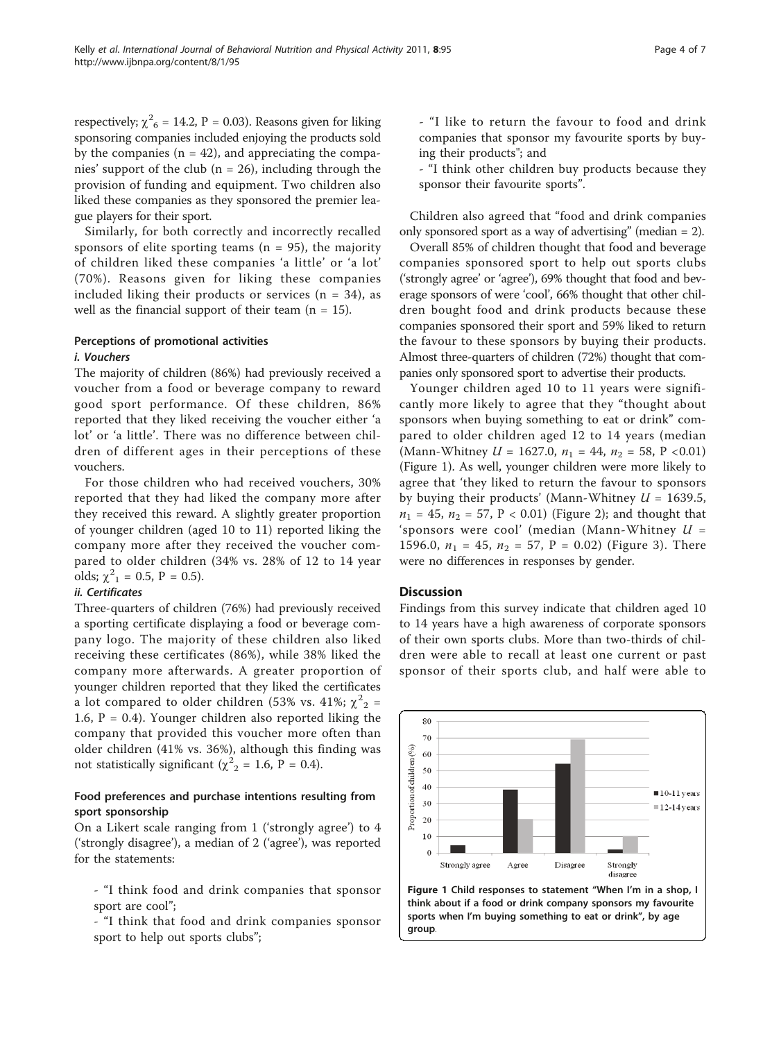sponsoring companies included enjoying the products sold by the companies  $(n = 42)$ , and appreciating the companies' support of the club ( $n = 26$ ), including through the provision of funding and equipment. Two children also liked these companies as they sponsored the premier league players for their sport.

Similarly, for both correctly and incorrectly recalled sponsors of elite sporting teams ( $n = 95$ ), the majority of children liked these companies 'a little' or 'a lot' (70%). Reasons given for liking these companies included liking their products or services ( $n = 34$ ), as well as the financial support of their team  $(n = 15)$ .

# Perceptions of promotional activities i. Vouchers

The majority of children (86%) had previously received a voucher from a food or beverage company to reward good sport performance. Of these children, 86% reported that they liked receiving the voucher either 'a lot' or 'a little'. There was no difference between children of different ages in their perceptions of these vouchers.

For those children who had received vouchers, 30% reported that they had liked the company more after they received this reward. A slightly greater proportion of younger children (aged 10 to 11) reported liking the company more after they received the voucher compared to older children (34% vs. 28% of 12 to 14 year olds;  $\chi^2_{1} = 0.5$ , P = 0.5).

# ii. Certificates

Three-quarters of children (76%) had previously received a sporting certificate displaying a food or beverage company logo. The majority of these children also liked receiving these certificates (86%), while 38% liked the company more afterwards. A greater proportion of younger children reported that they liked the certificates a lot compared to older children (53% vs. 41%;  $\chi^2{}_{2}$  = 1.6,  $P = 0.4$ ). Younger children also reported liking the company that provided this voucher more often than older children (41% vs. 36%), although this finding was not statistically significant ( $\chi^2$ <sub>2</sub> = 1.6, P = 0.4).

# Food preferences and purchase intentions resulting from sport sponsorship

On a Likert scale ranging from 1 ('strongly agree') to 4 ('strongly disagree'), a median of 2 ('agree'), was reported for the statements:

- "I think food and drink companies that sponsor sport are cool";

- "I think that food and drink companies sponsor sport to help out sports clubs";

- "I like to return the favour to food and drink companies that sponsor my favourite sports by buying their products"; and

- "I think other children buy products because they sponsor their favourite sports".

Children also agreed that "food and drink companies only sponsored sport as a way of advertising" (median = 2).

Overall 85% of children thought that food and beverage companies sponsored sport to help out sports clubs ('strongly agree' or 'agree'), 69% thought that food and beverage sponsors of were 'cool', 66% thought that other children bought food and drink products because these companies sponsored their sport and 59% liked to return the favour to these sponsors by buying their products. Almost three-quarters of children (72%) thought that companies only sponsored sport to advertise their products.

Younger children aged 10 to 11 years were significantly more likely to agree that they "thought about sponsors when buying something to eat or drink" compared to older children aged 12 to 14 years (median (Mann-Whitney  $U = 1627.0$ ,  $n_1 = 44$ ,  $n_2 = 58$ , P < 0.01) (Figure 1). As well, younger children were more likely to agree that 'they liked to return the favour to sponsors by buying their products' (Mann-Whitney  $U = 1639.5$ ,  $n_1 = 45$ ,  $n_2 = 57$ , P < 0.01) (Figure [2\)](#page-4-0); and thought that 'sponsors were cool' (median (Mann-Whitney  $U =$ 1596.0,  $n_1 = 45$ ,  $n_2 = 57$ , P = 0.02) (Figure [3](#page-4-0)). There were no differences in responses by gender.

# **Discussion**

Findings from this survey indicate that children aged 10 to 14 years have a high awareness of corporate sponsors of their own sports clubs. More than two-thirds of children were able to recall at least one current or past sponsor of their sports club, and half were able to

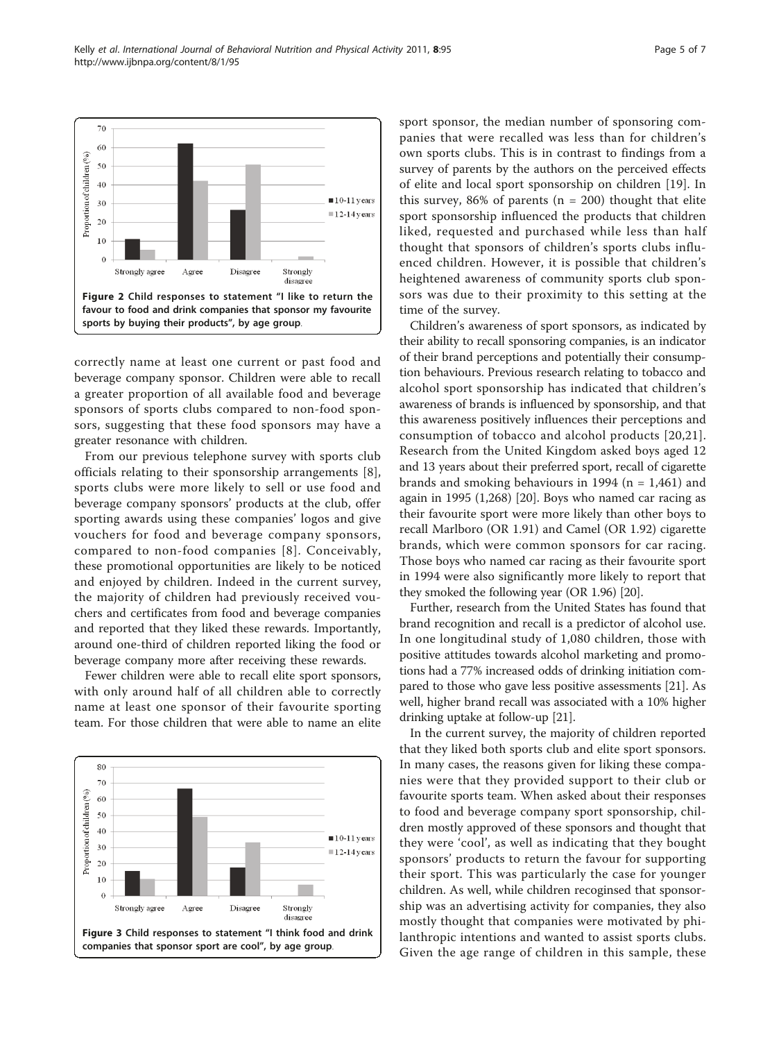<span id="page-4-0"></span>

correctly name at least one current or past food and beverage company sponsor. Children were able to recall a greater proportion of all available food and beverage sponsors of sports clubs compared to non-food sponsors, suggesting that these food sponsors may have a greater resonance with children.

From our previous telephone survey with sports club officials relating to their sponsorship arrangements [[8](#page-6-0)], sports clubs were more likely to sell or use food and beverage company sponsors' products at the club, offer sporting awards using these companies' logos and give vouchers for food and beverage company sponsors, compared to non-food companies [[8\]](#page-6-0). Conceivably, these promotional opportunities are likely to be noticed and enjoyed by children. Indeed in the current survey, the majority of children had previously received vouchers and certificates from food and beverage companies and reported that they liked these rewards. Importantly, around one-third of children reported liking the food or beverage company more after receiving these rewards.

Fewer children were able to recall elite sport sponsors, with only around half of all children able to correctly name at least one sponsor of their favourite sporting team. For those children that were able to name an elite



sport sponsor, the median number of sponsoring companies that were recalled was less than for children's own sports clubs. This is in contrast to findings from a survey of parents by the authors on the perceived effects of elite and local sport sponsorship on children [[19\]](#page-6-0). In this survey, 86% of parents ( $n = 200$ ) thought that elite sport sponsorship influenced the products that children liked, requested and purchased while less than half thought that sponsors of children's sports clubs influenced children. However, it is possible that children's heightened awareness of community sports club sponsors was due to their proximity to this setting at the time of the survey.

Children's awareness of sport sponsors, as indicated by their ability to recall sponsoring companies, is an indicator of their brand perceptions and potentially their consumption behaviours. Previous research relating to tobacco and alcohol sport sponsorship has indicated that children's awareness of brands is influenced by sponsorship, and that this awareness positively influences their perceptions and consumption of tobacco and alcohol products [[20](#page-6-0),[21](#page-6-0)]. Research from the United Kingdom asked boys aged 12 and 13 years about their preferred sport, recall of cigarette brands and smoking behaviours in 1994 ( $n = 1,461$ ) and again in 1995 (1,268) [[20](#page-6-0)]. Boys who named car racing as their favourite sport were more likely than other boys to recall Marlboro (OR 1.91) and Camel (OR 1.92) cigarette brands, which were common sponsors for car racing. Those boys who named car racing as their favourite sport in 1994 were also significantly more likely to report that they smoked the following year (OR 1.96) [\[20\]](#page-6-0).

Further, research from the United States has found that brand recognition and recall is a predictor of alcohol use. In one longitudinal study of 1,080 children, those with positive attitudes towards alcohol marketing and promotions had a 77% increased odds of drinking initiation compared to those who gave less positive assessments [\[21\]](#page-6-0). As well, higher brand recall was associated with a 10% higher drinking uptake at follow-up [\[21\]](#page-6-0).

In the current survey, the majority of children reported that they liked both sports club and elite sport sponsors. In many cases, the reasons given for liking these companies were that they provided support to their club or favourite sports team. When asked about their responses to food and beverage company sport sponsorship, children mostly approved of these sponsors and thought that they were 'cool', as well as indicating that they bought sponsors' products to return the favour for supporting their sport. This was particularly the case for younger children. As well, while children recoginsed that sponsorship was an advertising activity for companies, they also mostly thought that companies were motivated by philanthropic intentions and wanted to assist sports clubs. Given the age range of children in this sample, these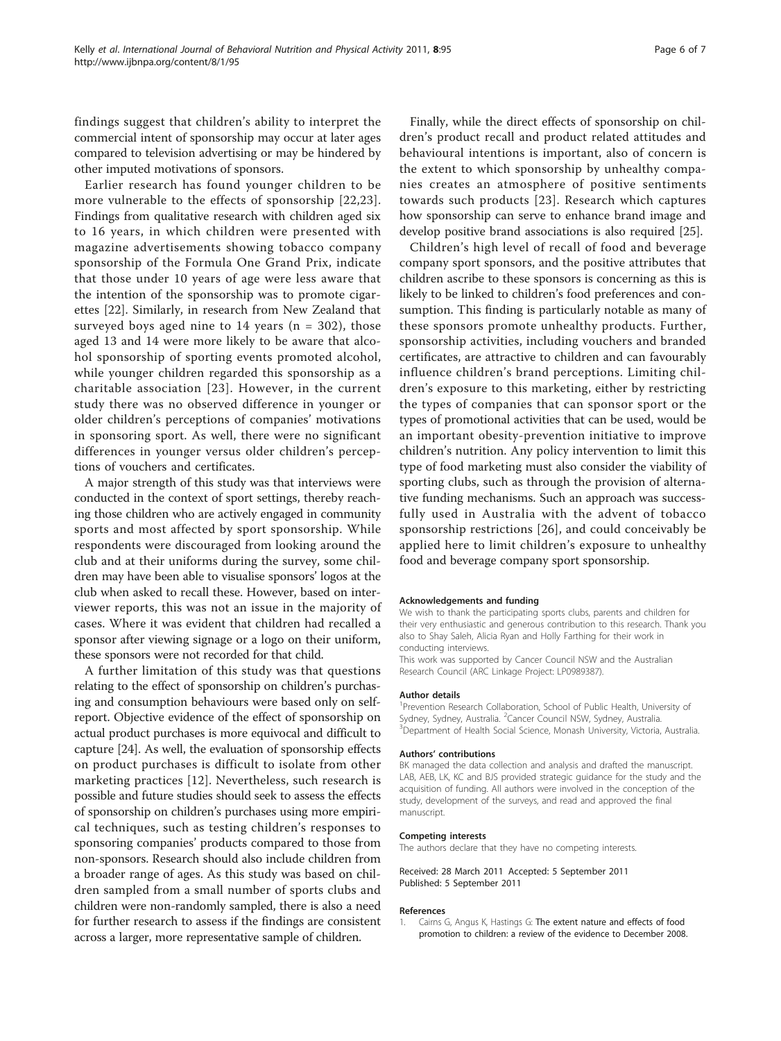<span id="page-5-0"></span>findings suggest that children's ability to interpret the commercial intent of sponsorship may occur at later ages compared to television advertising or may be hindered by other imputed motivations of sponsors.

Earlier research has found younger children to be more vulnerable to the effects of sponsorship [[22](#page-6-0),[23\]](#page-6-0). Findings from qualitative research with children aged six to 16 years, in which children were presented with magazine advertisements showing tobacco company sponsorship of the Formula One Grand Prix, indicate that those under 10 years of age were less aware that the intention of the sponsorship was to promote cigarettes [\[22](#page-6-0)]. Similarly, in research from New Zealand that surveyed boys aged nine to 14 years ( $n = 302$ ), those aged 13 and 14 were more likely to be aware that alcohol sponsorship of sporting events promoted alcohol, while younger children regarded this sponsorship as a charitable association [[23\]](#page-6-0). However, in the current study there was no observed difference in younger or older children's perceptions of companies' motivations in sponsoring sport. As well, there were no significant differences in younger versus older children's perceptions of vouchers and certificates.

A major strength of this study was that interviews were conducted in the context of sport settings, thereby reaching those children who are actively engaged in community sports and most affected by sport sponsorship. While respondents were discouraged from looking around the club and at their uniforms during the survey, some children may have been able to visualise sponsors' logos at the club when asked to recall these. However, based on interviewer reports, this was not an issue in the majority of cases. Where it was evident that children had recalled a sponsor after viewing signage or a logo on their uniform, these sponsors were not recorded for that child.

A further limitation of this study was that questions relating to the effect of sponsorship on children's purchasing and consumption behaviours were based only on selfreport. Objective evidence of the effect of sponsorship on actual product purchases is more equivocal and difficult to capture [[24](#page-6-0)]. As well, the evaluation of sponsorship effects on product purchases is difficult to isolate from other marketing practices [[12](#page-6-0)]. Nevertheless, such research is possible and future studies should seek to assess the effects of sponsorship on children's purchases using more empirical techniques, such as testing children's responses to sponsoring companies' products compared to those from non-sponsors. Research should also include children from a broader range of ages. As this study was based on children sampled from a small number of sports clubs and children were non-randomly sampled, there is also a need for further research to assess if the findings are consistent across a larger, more representative sample of children.

Finally, while the direct effects of sponsorship on children's product recall and product related attitudes and behavioural intentions is important, also of concern is the extent to which sponsorship by unhealthy companies creates an atmosphere of positive sentiments towards such products [[23](#page-6-0)]. Research which captures how sponsorship can serve to enhance brand image and develop positive brand associations is also required [\[25\]](#page-6-0).

Children's high level of recall of food and beverage company sport sponsors, and the positive attributes that children ascribe to these sponsors is concerning as this is likely to be linked to children's food preferences and consumption. This finding is particularly notable as many of these sponsors promote unhealthy products. Further, sponsorship activities, including vouchers and branded certificates, are attractive to children and can favourably influence children's brand perceptions. Limiting children's exposure to this marketing, either by restricting the types of companies that can sponsor sport or the types of promotional activities that can be used, would be an important obesity-prevention initiative to improve children's nutrition. Any policy intervention to limit this type of food marketing must also consider the viability of sporting clubs, such as through the provision of alternative funding mechanisms. Such an approach was successfully used in Australia with the advent of tobacco sponsorship restrictions [[26](#page-6-0)], and could conceivably be applied here to limit children's exposure to unhealthy food and beverage company sport sponsorship.

#### Acknowledgements and funding

We wish to thank the participating sports clubs, parents and children for their very enthusiastic and generous contribution to this research. Thank you also to Shay Saleh, Alicia Ryan and Holly Farthing for their work in conducting interviews.

This work was supported by Cancer Council NSW and the Australian Research Council (ARC Linkage Project: LP0989387).

#### Author details

<sup>1</sup> Prevention Research Collaboration, School of Public Health, University of Sydney, Sydney, Australia. <sup>2</sup> Cancer Council NSW, Sydney, Australia.<br><sup>3</sup> Department of Hoalth Social Science, Monach University, Victoria. <sup>3</sup>Department of Health Social Science, Monash University, Victoria, Australia.

#### Authors' contributions

BK managed the data collection and analysis and drafted the manuscript. LAB, AEB, LK, KC and BJS provided strategic guidance for the study and the acquisition of funding. All authors were involved in the conception of the study, development of the surveys, and read and approved the final manuscript.

#### Competing interests

The authors declare that they have no competing interests.

Received: 28 March 2011 Accepted: 5 September 2011 Published: 5 September 2011

#### References

1. Cairns G, Angus K, Hastings G: The extent nature and effects of food promotion to children: a review of the evidence to December 2008.